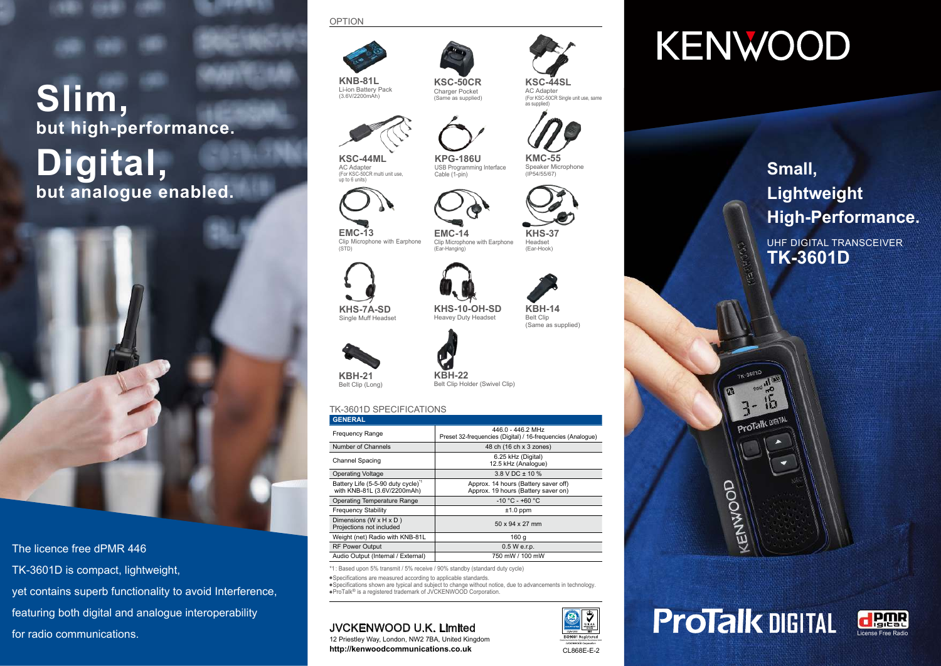# **Slim, but high-performance. Digital, but analogue enabled.**



# The licence free dPMR 446

TK-3601D is compact, lightweight,

yet contains superb functionality to avoid Interference, featuring both digital and analogue interoperability

for radio communications.

# OPTION



**KNB-81L** Li-ion Battery Pack (3.6V/2200mAh)



**KSC-44ML** AC Adapter (For KSC-50CR multi unit use,



up to 6 units)

**EMC-13** Clip Microphone with Earphone (STD)

(Ear-Hook) **EMC-14** Clip Microphone with Earphone (Ear-Hanging)



**KHS-7A-SD** Single Muff Headset

Belt Clip **KHS-10-OH-SD** Heavey Duty Headset





**KSC-50CR** Charger Pocket (Same as supplied)

**KPG-186U** USB Programming Interface Cable (1-pin)

# TK-3601D SPECIFICATIONS

| <b>GENERAL</b>                                                               |                                                                                  |
|------------------------------------------------------------------------------|----------------------------------------------------------------------------------|
| Frequency Range                                                              | 446.0 - 446.2 MHz<br>Preset 32-frequencies (Digital) / 16-frequencies (Analogue) |
| Number of Channels                                                           | 48 ch (16 ch x 3 zones)                                                          |
| <b>Channel Spacing</b>                                                       | 6.25 kHz (Digital)<br>12.5 kHz (Analogue)                                        |
| <b>Operating Voltage</b>                                                     | $3.8$ V DC $\pm$ 10 %                                                            |
| Battery Life (5-5-90 duty cycle) <sup>1</sup><br>with KNB-81L (3.6V/2200mAh) | Approx. 14 hours (Battery saver off)<br>Approx. 19 hours (Battery saver on)      |
| Operating Temperature Range                                                  | $-10$ °C - +60 °C                                                                |
| <b>Frequency Stability</b>                                                   | $±1.0$ ppm                                                                       |
| Dimensions (W $\times$ H $\times$ D)<br>Projections not included             | $50 \times 94 \times 27$ mm                                                      |
| Weight (net) Radio with KNB-81L                                              | 160 a                                                                            |
| <b>RF Power Output</b>                                                       | 0.5 W e.r.p.                                                                     |
| Audio Output (Internal / External)                                           | 750 mW / 100 mW                                                                  |

\*1: Based upon 5% transmit / 5% receive / 90% standby (standard duty cycle)

Specifications are measured according to applicable standards.

Specifications shown are typical and subject to change without notice, due to advancements in technology. ProTalk® is a registered trademark of JVCKENWOOD Corporation.

# JVCKENWOOD U.K. Limited

12 Priestley Way, London, NW2 7BA, United Kingdom **http://kenwoodcommunications.co.uk**



#### **KSC-44SL** AC Adapter (For KSC-50CR Single unit use, same as supplied)



**KMC-55** Speaker Microphone (IP54/55/67)



**KHS-37** Headset

**KBH-14**

(Same as supplied)



CL868E-E-2 Communications Systems Business Unit

∜

# **KENWOOD**

**Small, Lightweight High-Performance.**

UHF DIGITAL TRANSCEIVER **TK-3601D**

# KENWOOD

ProTalk DIGI